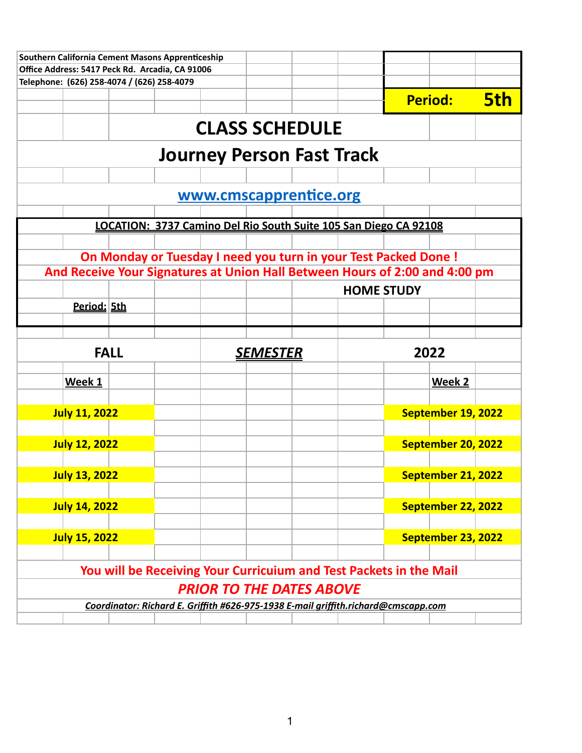| Southern California Cement Masons Apprenticeship                            |             |  |  |                                 |  |                                                                                    |                    |            |
|-----------------------------------------------------------------------------|-------------|--|--|---------------------------------|--|------------------------------------------------------------------------------------|--------------------|------------|
| Office Address: 5417 Peck Rd. Arcadia, CA 91006                             |             |  |  |                                 |  |                                                                                    |                    |            |
| Telephone: (626) 258-4074 / (626) 258-4079                                  |             |  |  |                                 |  |                                                                                    |                    |            |
|                                                                             |             |  |  |                                 |  |                                                                                    | <b>Period:</b>     | <b>5th</b> |
|                                                                             |             |  |  | <b>CLASS SCHEDULE</b>           |  |                                                                                    |                    |            |
|                                                                             |             |  |  |                                 |  | <b>Journey Person Fast Track</b>                                                   |                    |            |
|                                                                             |             |  |  |                                 |  |                                                                                    |                    |            |
|                                                                             |             |  |  | www.cmscapprentice.org          |  |                                                                                    |                    |            |
|                                                                             |             |  |  |                                 |  |                                                                                    |                    |            |
|                                                                             |             |  |  |                                 |  | LOCATION: 3737 Camino Del Rio South Suite 105 San Diego CA 92108                   |                    |            |
|                                                                             |             |  |  |                                 |  |                                                                                    |                    |            |
|                                                                             |             |  |  |                                 |  | On Monday or Tuesday I need you turn in your Test Packed Done !                    |                    |            |
| And Receive Your Signatures at Union Hall Between Hours of 2:00 and 4:00 pm |             |  |  |                                 |  |                                                                                    |                    |            |
|                                                                             |             |  |  |                                 |  | <b>HOME STUDY</b>                                                                  |                    |            |
| Period: 5th                                                                 |             |  |  |                                 |  |                                                                                    |                    |            |
|                                                                             |             |  |  |                                 |  |                                                                                    |                    |            |
|                                                                             | <b>FALL</b> |  |  | <u>SEMESTER</u>                 |  |                                                                                    | 2022               |            |
| Week 1                                                                      |             |  |  |                                 |  |                                                                                    | Week 2             |            |
|                                                                             |             |  |  |                                 |  |                                                                                    |                    |            |
| <b>July 11, 2022</b>                                                        |             |  |  |                                 |  |                                                                                    | September 19, 2022 |            |
|                                                                             |             |  |  |                                 |  |                                                                                    |                    |            |
| <b>July 12, 2022</b>                                                        |             |  |  |                                 |  |                                                                                    | September 20, 2022 |            |
|                                                                             |             |  |  |                                 |  |                                                                                    |                    |            |
| <b>July 13, 2022</b>                                                        |             |  |  |                                 |  |                                                                                    | September 21, 2022 |            |
|                                                                             |             |  |  |                                 |  |                                                                                    |                    |            |
| <b>July 14, 2022</b>                                                        |             |  |  |                                 |  |                                                                                    | September 22, 2022 |            |
|                                                                             |             |  |  |                                 |  |                                                                                    |                    |            |
| <b>July 15, 2022</b>                                                        |             |  |  |                                 |  |                                                                                    | September 23, 2022 |            |
|                                                                             |             |  |  |                                 |  |                                                                                    |                    |            |
|                                                                             |             |  |  |                                 |  | You will be Receiving Your Curricuium and Test Packets in the Mail                 |                    |            |
|                                                                             |             |  |  | <b>PRIOR TO THE DATES ABOVE</b> |  |                                                                                    |                    |            |
|                                                                             |             |  |  |                                 |  |                                                                                    |                    |            |
|                                                                             |             |  |  |                                 |  | Coordinator: Richard E. Griffith #626-975-1938 E-mail griffith.richard@cmscapp.com |                    |            |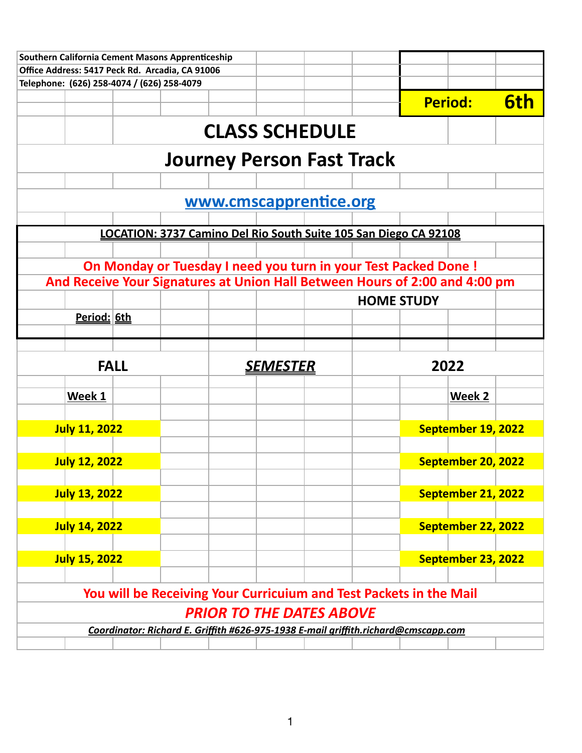| Southern California Cement Masons Apprenticeship |             |  |                                                                                    |                   |                    |     |
|--------------------------------------------------|-------------|--|------------------------------------------------------------------------------------|-------------------|--------------------|-----|
| Office Address: 5417 Peck Rd. Arcadia, CA 91006  |             |  |                                                                                    |                   |                    |     |
| Telephone: (626) 258-4074 / (626) 258-4079       |             |  |                                                                                    |                   |                    |     |
|                                                  |             |  |                                                                                    |                   | <b>Period:</b>     | 6th |
|                                                  |             |  | <b>CLASS SCHEDULE</b>                                                              |                   |                    |     |
|                                                  |             |  | <b>Journey Person Fast Track</b>                                                   |                   |                    |     |
|                                                  |             |  |                                                                                    |                   |                    |     |
|                                                  |             |  | www.cmscapprentice.org                                                             |                   |                    |     |
|                                                  |             |  |                                                                                    |                   |                    |     |
|                                                  |             |  | LOCATION: 3737 Camino Del Rio South Suite 105 San Diego CA 92108                   |                   |                    |     |
|                                                  |             |  |                                                                                    |                   |                    |     |
|                                                  |             |  | On Monday or Tuesday I need you turn in your Test Packed Done !                    |                   |                    |     |
|                                                  |             |  | And Receive Your Signatures at Union Hall Between Hours of 2:00 and 4:00 pm        |                   |                    |     |
|                                                  |             |  |                                                                                    | <b>HOME STUDY</b> |                    |     |
| Period: 6th                                      |             |  |                                                                                    |                   |                    |     |
|                                                  |             |  |                                                                                    |                   |                    |     |
|                                                  | <b>FALL</b> |  | <u>SEMESTER</u>                                                                    |                   | 2022               |     |
|                                                  |             |  |                                                                                    |                   | Week 2             |     |
|                                                  |             |  |                                                                                    |                   |                    |     |
| Week 1                                           |             |  |                                                                                    |                   |                    |     |
|                                                  |             |  |                                                                                    |                   |                    |     |
| <b>July 11, 2022</b>                             |             |  |                                                                                    |                   | September 19, 2022 |     |
|                                                  |             |  |                                                                                    |                   |                    |     |
| <b>July 12, 2022</b>                             |             |  |                                                                                    |                   | September 20, 2022 |     |
| <b>July 13, 2022</b>                             |             |  |                                                                                    |                   | September 21, 2022 |     |
|                                                  |             |  |                                                                                    |                   |                    |     |
| <b>July 14, 2022</b>                             |             |  |                                                                                    |                   | September 22, 2022 |     |
|                                                  |             |  |                                                                                    |                   |                    |     |
| <b>July 15, 2022</b>                             |             |  |                                                                                    |                   | September 23, 2022 |     |
|                                                  |             |  |                                                                                    |                   |                    |     |
|                                                  |             |  | You will be Receiving Your Curricuium and Test Packets in the Mail                 |                   |                    |     |
|                                                  |             |  | <b>PRIOR TO THE DATES ABOVE</b>                                                    |                   |                    |     |
|                                                  |             |  | Coordinator: Richard E. Griffith #626-975-1938 E-mail griffith.richard@cmscapp.com |                   |                    |     |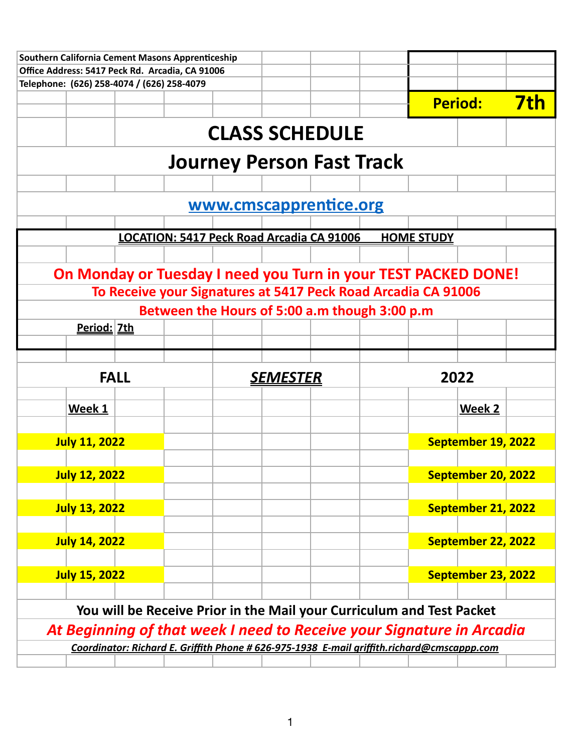| Office Address: 5417 Peck Rd. Arcadia, CA 91006 |             |  |                 |                                                                                            |                   |                    |            |
|-------------------------------------------------|-------------|--|-----------------|--------------------------------------------------------------------------------------------|-------------------|--------------------|------------|
| Telephone: (626) 258-4074 / (626) 258-4079      |             |  |                 |                                                                                            |                   |                    |            |
|                                                 |             |  |                 |                                                                                            |                   | <b>Period:</b>     | <u>7th</u> |
|                                                 |             |  |                 | <b>CLASS SCHEDULE</b>                                                                      |                   |                    |            |
|                                                 |             |  |                 |                                                                                            |                   |                    |            |
|                                                 |             |  |                 | <b>Journey Person Fast Track</b>                                                           |                   |                    |            |
|                                                 |             |  |                 | www.cmscapprentice.org                                                                     |                   |                    |            |
|                                                 |             |  |                 |                                                                                            |                   |                    |            |
|                                                 |             |  |                 | LOCATION: 5417 Peck Road Arcadia CA 91006                                                  | <b>HOME STUDY</b> |                    |            |
|                                                 |             |  |                 |                                                                                            |                   |                    |            |
|                                                 |             |  |                 | On Monday or Tuesday I need you Turn in your TEST PACKED DONE!                             |                   |                    |            |
|                                                 |             |  |                 | To Receive your Signatures at 5417 Peck Road Arcadia CA 91006                              |                   |                    |            |
|                                                 |             |  |                 | Between the Hours of 5:00 a.m though 3:00 p.m                                              |                   |                    |            |
| Period: 7th                                     |             |  |                 |                                                                                            |                   |                    |            |
|                                                 |             |  |                 |                                                                                            |                   |                    |            |
|                                                 | <b>FALL</b> |  | <u>SEMESTER</u> |                                                                                            |                   | 2022               |            |
|                                                 |             |  |                 |                                                                                            |                   |                    |            |
| Week 1                                          |             |  |                 |                                                                                            |                   | Week 2             |            |
| <b>July 11, 2022</b>                            |             |  |                 |                                                                                            |                   | September 19, 2022 |            |
|                                                 |             |  |                 |                                                                                            |                   |                    |            |
| <b>July 12, 2022</b>                            |             |  |                 |                                                                                            |                   | September 20, 2022 |            |
|                                                 |             |  |                 |                                                                                            |                   |                    |            |
| <b>July 13, 2022</b>                            |             |  |                 |                                                                                            |                   | September 21, 2022 |            |
|                                                 |             |  |                 |                                                                                            |                   |                    |            |
| <b>July 14, 2022</b>                            |             |  |                 |                                                                                            |                   | September 22, 2022 |            |
| <b>July 15, 2022</b>                            |             |  |                 |                                                                                            |                   | September 23, 2022 |            |
|                                                 |             |  |                 |                                                                                            |                   |                    |            |
|                                                 |             |  |                 | You will be Receive Prior in the Mail your Curriculum and Test Packet                      |                   |                    |            |
|                                                 |             |  |                 |                                                                                            |                   |                    |            |
|                                                 |             |  |                 | At Beginning of that week I need to Receive your Signature in Arcadia                      |                   |                    |            |
|                                                 |             |  |                 | Coordinator: Richard E. Griffith Phone # 626-975-1938 E-mail griffith.richard@cmscappp.com |                   |                    |            |